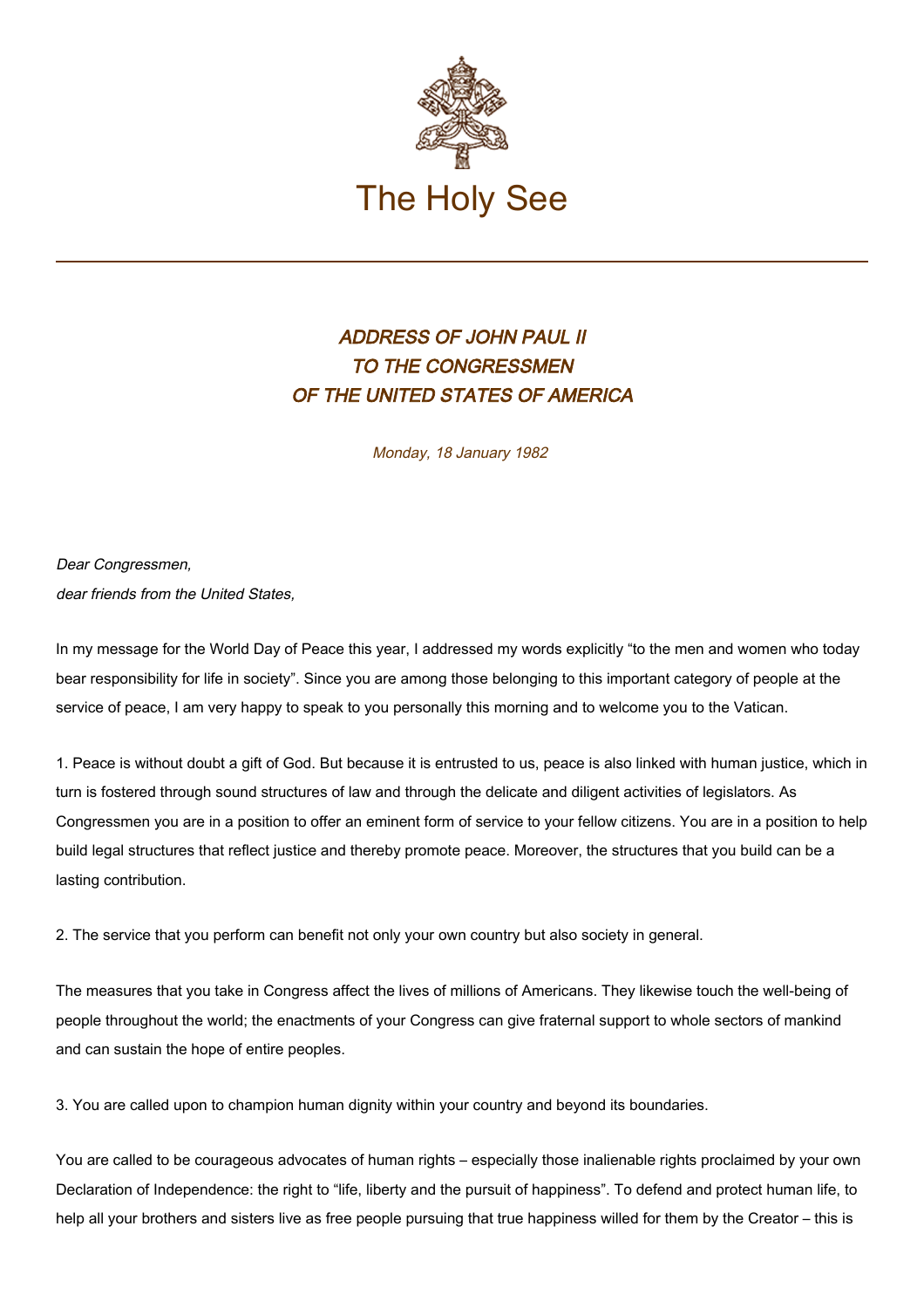

## ADDRESS OF JOHN PAUL II TO THE CONGRESSMEN OF THE UNITED STATES OF AMERICA

Monday, 18 January 1982

Dear Congressmen, dear friends from the United States.

In my message for the World Day of Peace this year, I addressed my words explicitly "to the men and women who today bear responsibility for life in society". Since you are among those belonging to this important category of people at the service of peace, I am very happy to speak to you personally this morning and to welcome you to the Vatican.

1. Peace is without doubt a gift of God. But because it is entrusted to us, peace is also linked with human justice, which in turn is fostered through sound structures of law and through the delicate and diligent activities of legislators. As Congressmen you are in a position to offer an eminent form of service to your fellow citizens. You are in a position to help build legal structures that reflect justice and thereby promote peace. Moreover, the structures that you build can be a lasting contribution.

2. The service that you perform can benefit not only your own country but also society in general.

The measures that you take in Congress affect the lives of millions of Americans. They likewise touch the well-being of people throughout the world; the enactments of your Congress can give fraternal support to whole sectors of mankind and can sustain the hope of entire peoples.

3. You are called upon to champion human dignity within your country and beyond its boundaries.

You are called to be courageous advocates of human rights – especially those inalienable rights proclaimed by your own Declaration of Independence: the right to "life, liberty and the pursuit of happiness". To defend and protect human life, to help all your brothers and sisters live as free people pursuing that true happiness willed for them by the Creator – this is